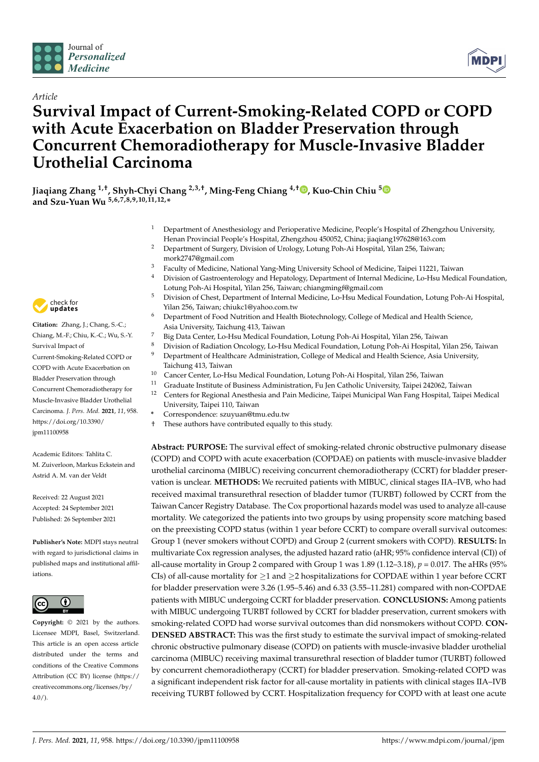

*Article*



# **Survival Impact of Current-Smoking-Related COPD or COPD with Acute Exacerbation on Bladder Preservation through Concurrent Chemoradiotherapy for Muscle-Invasive Bladder Urothelial Carcinoma**

**Jiaqiang Zhang 1,†, Shyh-Chyi Chang 2,3,†, Ming-Feng Chiang 4,† [,](https://orcid.org/0000-0003-0940-0070) Kuo-Chin Chiu [5](https://orcid.org/0000-0001-5173-7852) and Szu-Yuan Wu 5,6,7,8,9,10,11,12,\***

- <sup>1</sup> Department of Anesthesiology and Perioperative Medicine, People's Hospital of Zhengzhou University, Henan Provincial People's Hospital, Zhengzhou 450052, China; jiaqiang197628@163.com
- <sup>2</sup> Department of Surgery, Division of Urology, Lotung Poh-Ai Hospital, Yilan 256, Taiwan; mork2747@gmail.com
- <sup>3</sup> Faculty of Medicine, National Yang-Ming University School of Medicine, Taipei 11221, Taiwan
- <sup>4</sup> Division of Gastroenterology and Hepatology, Department of Internal Medicine, Lo-Hsu Medical Foundation, Lotung Poh-Ai Hospital, Yilan 256, Taiwan; chiangmingf@gmail.com
- <sup>5</sup> Division of Chest, Department of Internal Medicine, Lo-Hsu Medical Foundation, Lotung Poh-Ai Hospital, Yilan 256, Taiwan; chiukc1@yahoo.com.tw
- <sup>6</sup> Department of Food Nutrition and Health Biotechnology, College of Medical and Health Science, Asia University, Taichung 413, Taiwan
- <sup>7</sup> Big Data Center, Lo-Hsu Medical Foundation, Lotung Poh-Ai Hospital, Yilan 256, Taiwan
- <sup>8</sup> Division of Radiation Oncology, Lo-Hsu Medical Foundation, Lotung Poh-Ai Hospital, Yilan 256, Taiwan <sup>9</sup> Department of Healthcare Administration, College of Medical and Health Science, Asia University,
- Taichung 413, Taiwan
- <sup>10</sup> Cancer Center, Lo-Hsu Medical Foundation, Lotung Poh-Ai Hospital, Yilan 256, Taiwan<br><sup>11</sup> Craduate Institute of Business Administration, Fu Jon Catholic University Taipei 24206 <sup>11</sup> Graduate Institute of Business Administration, Fu Jen Catholic University, Taipei 242062, Taiwan
- <sup>12</sup> Centers for Regional Anesthesia and Pain Medicine, Taipei Municipal Wan Fang Hospital, Taipei Medical University, Taipei 110, Taiwan
- **\*** Correspondence: szuyuan@tmu.edu.tw
- These authors have contributed equally to this study.

**Abstract: PURPOSE:** The survival effect of smoking-related chronic obstructive pulmonary disease (COPD) and COPD with acute exacerbation (COPDAE) on patients with muscle-invasive bladder urothelial carcinoma (MIBUC) receiving concurrent chemoradiotherapy (CCRT) for bladder preservation is unclear. **METHODS:** We recruited patients with MIBUC, clinical stages IIA–IVB, who had received maximal transurethral resection of bladder tumor (TURBT) followed by CCRT from the Taiwan Cancer Registry Database. The Cox proportional hazards model was used to analyze all-cause mortality. We categorized the patients into two groups by using propensity score matching based on the preexisting COPD status (within 1 year before CCRT) to compare overall survival outcomes: Group 1 (never smokers without COPD) and Group 2 (current smokers with COPD). **RESULTS:** In multivariate Cox regression analyses, the adjusted hazard ratio (aHR; 95% confidence interval (CI)) of all-cause mortality in Group 2 compared with Group 1 was 1.89 (1.12–3.18),  $p = 0.017$ . The aHRs (95% CIs) of all-cause mortality for  $\geq$ 1 and  $\geq$ 2 hospitalizations for COPDAE within 1 year before CCRT for bladder preservation were 3.26 (1.95–5.46) and 6.33 (3.55–11.281) compared with non-COPDAE patients with MIBUC undergoing CCRT for bladder preservation. **CONCLUSIONS:** Among patients with MIBUC undergoing TURBT followed by CCRT for bladder preservation, current smokers with smoking-related COPD had worse survival outcomes than did nonsmokers without COPD. **CON-DENSED ABSTRACT:** This was the first study to estimate the survival impact of smoking-related chronic obstructive pulmonary disease (COPD) on patients with muscle-invasive bladder urothelial carcinoma (MIBUC) receiving maximal transurethral resection of bladder tumor (TURBT) followed by concurrent chemoradiotherapy (CCRT) for bladder preservation. Smoking-related COPD was a significant independent risk factor for all-cause mortality in patients with clinical stages IIA–IVB receiving TURBT followed by CCRT. Hospitalization frequency for COPD with at least one acute



**Citation:** Zhang, J.; Chang, S.-C.; Chiang, M.-F.; Chiu, K.-C.; Wu, S.-Y. Survival Impact of Current-Smoking-Related COPD or COPD with Acute Exacerbation on Bladder Preservation through Concurrent Chemoradiotherapy for Muscle-Invasive Bladder Urothelial Carcinoma. *J. Pers. Med.* **2021**, *11*, 958. [https://doi.org/10.3390/](https://doi.org/10.3390/jpm11100958) [jpm11100958](https://doi.org/10.3390/jpm11100958)

Academic Editors: Tahlita C. M. Zuiverloon, Markus Eckstein and Astrid A. M. van der Veldt

Received: 22 August 2021 Accepted: 24 September 2021 Published: 26 September 2021

**Publisher's Note:** MDPI stays neutral with regard to jurisdictional claims in published maps and institutional affiliations.



**Copyright:** © 2021 by the authors. Licensee MDPI, Basel, Switzerland. This article is an open access article distributed under the terms and conditions of the Creative Commons Attribution (CC BY) license (https:/[/](https://creativecommons.org/licenses/by/4.0/) [creativecommons.org/licenses/by/](https://creativecommons.org/licenses/by/4.0/)  $4.0/$ ).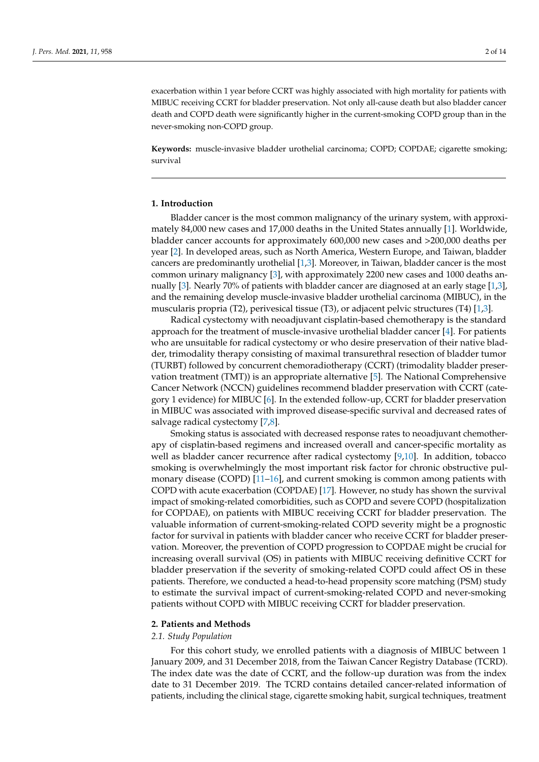exacerbation within 1 year before CCRT was highly associated with high mortality for patients with MIBUC receiving CCRT for bladder preservation. Not only all-cause death but also bladder cancer death and COPD death were significantly higher in the current-smoking COPD group than in the never-smoking non-COPD group.

**Keywords:** muscle-invasive bladder urothelial carcinoma; COPD; COPDAE; cigarette smoking; survival

# **1. Introduction**

Bladder cancer is the most common malignancy of the urinary system, with approximately 84,000 new cases and 17,000 deaths in the United States annually [\[1\]](#page-11-0). Worldwide, bladder cancer accounts for approximately 600,000 new cases and >200,000 deaths per year [\[2\]](#page-11-1). In developed areas, such as North America, Western Europe, and Taiwan, bladder cancers are predominantly urothelial [\[1,](#page-11-0)[3\]](#page-11-2). Moreover, in Taiwan, bladder cancer is the most common urinary malignancy [\[3\]](#page-11-2), with approximately 2200 new cases and 1000 deaths annually [\[3\]](#page-11-2). Nearly 70% of patients with bladder cancer are diagnosed at an early stage [\[1](#page-11-0)[,3\]](#page-11-2), and the remaining develop muscle-invasive bladder urothelial carcinoma (MIBUC), in the muscularis propria (T2), perivesical tissue (T3), or adjacent pelvic structures (T4) [\[1,](#page-11-0)[3\]](#page-11-2).

Radical cystectomy with neoadjuvant cisplatin-based chemotherapy is the standard approach for the treatment of muscle-invasive urothelial bladder cancer [\[4\]](#page-11-3). For patients who are unsuitable for radical cystectomy or who desire preservation of their native bladder, trimodality therapy consisting of maximal transurethral resection of bladder tumor (TURBT) followed by concurrent chemoradiotherapy (CCRT) (trimodality bladder preservation treatment (TMT)) is an appropriate alternative [\[5\]](#page-11-4). The National Comprehensive Cancer Network (NCCN) guidelines recommend bladder preservation with CCRT (category 1 evidence) for MIBUC [\[6\]](#page-11-5). In the extended follow-up, CCRT for bladder preservation in MIBUC was associated with improved disease-specific survival and decreased rates of salvage radical cystectomy [\[7](#page-11-6)[,8\]](#page-11-7).

Smoking status is associated with decreased response rates to neoadjuvant chemotherapy of cisplatin-based regimens and increased overall and cancer-specific mortality as well as bladder cancer recurrence after radical cystectomy [\[9,](#page-11-8)[10\]](#page-11-9). In addition, tobacco smoking is overwhelmingly the most important risk factor for chronic obstructive pulmonary disease (COPD) [\[11–](#page-11-10)[16\]](#page-11-11), and current smoking is common among patients with COPD with acute exacerbation (COPDAE) [\[17\]](#page-11-12). However, no study has shown the survival impact of smoking-related comorbidities, such as COPD and severe COPD (hospitalization for COPDAE), on patients with MIBUC receiving CCRT for bladder preservation. The valuable information of current-smoking-related COPD severity might be a prognostic factor for survival in patients with bladder cancer who receive CCRT for bladder preservation. Moreover, the prevention of COPD progression to COPDAE might be crucial for increasing overall survival (OS) in patients with MIBUC receiving definitive CCRT for bladder preservation if the severity of smoking-related COPD could affect OS in these patients. Therefore, we conducted a head-to-head propensity score matching (PSM) study to estimate the survival impact of current-smoking-related COPD and never-smoking patients without COPD with MIBUC receiving CCRT for bladder preservation.

#### **2. Patients and Methods**

#### *2.1. Study Population*

For this cohort study, we enrolled patients with a diagnosis of MIBUC between 1 January 2009, and 31 December 2018, from the Taiwan Cancer Registry Database (TCRD). The index date was the date of CCRT, and the follow-up duration was from the index date to 31 December 2019. The TCRD contains detailed cancer-related information of patients, including the clinical stage, cigarette smoking habit, surgical techniques, treatment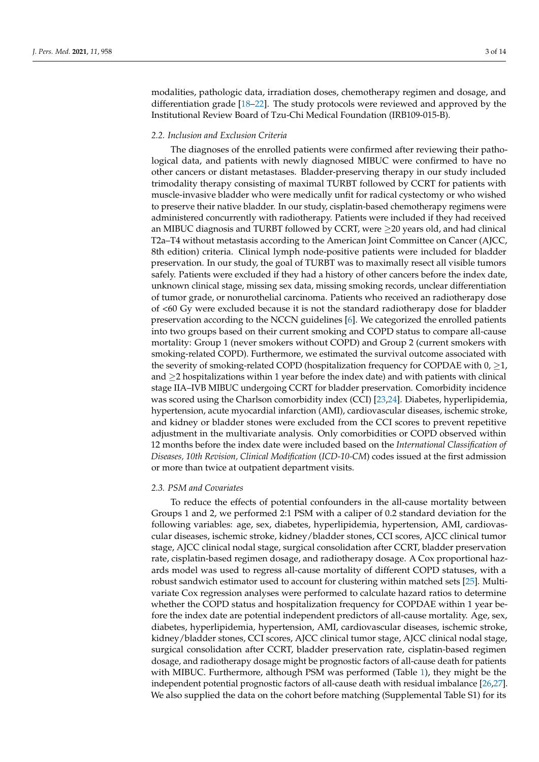modalities, pathologic data, irradiation doses, chemotherapy regimen and dosage, and differentiation grade [\[18–](#page-12-0)[22\]](#page-12-1). The study protocols were reviewed and approved by the Institutional Review Board of Tzu-Chi Medical Foundation (IRB109-015-B).

### *2.2. Inclusion and Exclusion Criteria*

The diagnoses of the enrolled patients were confirmed after reviewing their pathological data, and patients with newly diagnosed MIBUC were confirmed to have no other cancers or distant metastases. Bladder-preserving therapy in our study included trimodality therapy consisting of maximal TURBT followed by CCRT for patients with muscle-invasive bladder who were medically unfit for radical cystectomy or who wished to preserve their native bladder. In our study, cisplatin-based chemotherapy regimens were administered concurrently with radiotherapy. Patients were included if they had received an MIBUC diagnosis and TURBT followed by CCRT, were  $\geq$ 20 years old, and had clinical T2a–T4 without metastasis according to the American Joint Committee on Cancer (AJCC, 8th edition) criteria. Clinical lymph node-positive patients were included for bladder preservation. In our study, the goal of TURBT was to maximally resect all visible tumors safely. Patients were excluded if they had a history of other cancers before the index date, unknown clinical stage, missing sex data, missing smoking records, unclear differentiation of tumor grade, or nonurothelial carcinoma. Patients who received an radiotherapy dose of <60 Gy were excluded because it is not the standard radiotherapy dose for bladder preservation according to the NCCN guidelines [\[6\]](#page-11-5). We categorized the enrolled patients into two groups based on their current smoking and COPD status to compare all-cause mortality: Group 1 (never smokers without COPD) and Group 2 (current smokers with smoking-related COPD). Furthermore, we estimated the survival outcome associated with the severity of smoking-related COPD (hospitalization frequency for COPDAE with  $0, \geq 1$ , and  $\geq$ 2 hospitalizations within 1 year before the index date) and with patients with clinical stage IIA–IVB MIBUC undergoing CCRT for bladder preservation. Comorbidity incidence was scored using the Charlson comorbidity index (CCI) [\[23,](#page-12-2)[24\]](#page-12-3). Diabetes, hyperlipidemia, hypertension, acute myocardial infarction (AMI), cardiovascular diseases, ischemic stroke, and kidney or bladder stones were excluded from the CCI scores to prevent repetitive adjustment in the multivariate analysis. Only comorbidities or COPD observed within 12 months before the index date were included based on the *International Classification of Diseases, 10th Revision, Clinical Modification* (*ICD-10-CM*) codes issued at the first admission or more than twice at outpatient department visits.

#### *2.3. PSM and Covariates*

To reduce the effects of potential confounders in the all-cause mortality between Groups 1 and 2, we performed 2:1 PSM with a caliper of 0.2 standard deviation for the following variables: age, sex, diabetes, hyperlipidemia, hypertension, AMI, cardiovascular diseases, ischemic stroke, kidney/bladder stones, CCI scores, AJCC clinical tumor stage, AJCC clinical nodal stage, surgical consolidation after CCRT, bladder preservation rate, cisplatin-based regimen dosage, and radiotherapy dosage. A Cox proportional hazards model was used to regress all-cause mortality of different COPD statuses, with a robust sandwich estimator used to account for clustering within matched sets [\[25\]](#page-12-4). Multivariate Cox regression analyses were performed to calculate hazard ratios to determine whether the COPD status and hospitalization frequency for COPDAE within 1 year before the index date are potential independent predictors of all-cause mortality. Age, sex, diabetes, hyperlipidemia, hypertension, AMI, cardiovascular diseases, ischemic stroke, kidney/bladder stones, CCI scores, AJCC clinical tumor stage, AJCC clinical nodal stage, surgical consolidation after CCRT, bladder preservation rate, cisplatin-based regimen dosage, and radiotherapy dosage might be prognostic factors of all-cause death for patients with MIBUC. Furthermore, although PSM was performed (Table [1\)](#page-4-0), they might be the independent potential prognostic factors of all-cause death with residual imbalance [\[26](#page-12-5)[,27\]](#page-12-6). We also supplied the data on the cohort before matching (Supplemental Table S1) for its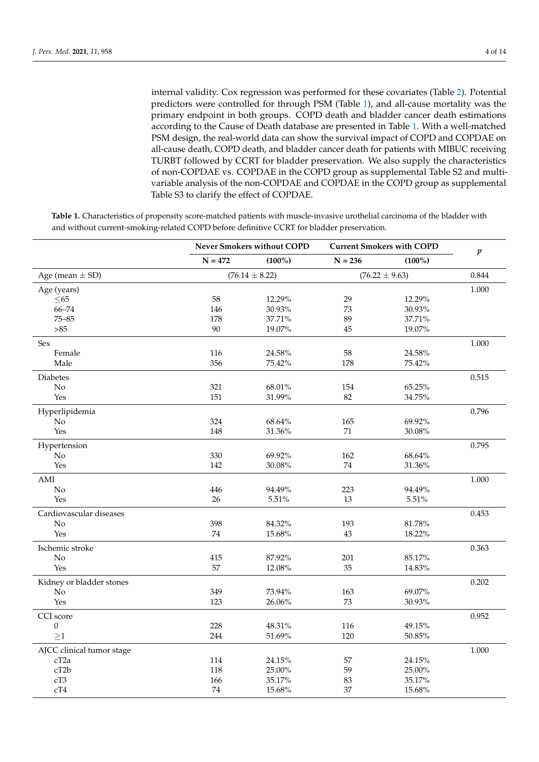internal validity. Cox regression was performed for these covariates (Table [2\)](#page-5-0). Potential predictors were controlled for through PSM (Table [1\)](#page-4-0), and all-cause mortality was the primary endpoint in both groups. COPD death and bladder cancer death estimations according to the Cause of Death database are presented in Table [1.](#page-4-0) With a well-matched PSM design, the real-world data can show the survival impact of COPD and COPDAE on all-cause death, COPD death, and bladder cancer death for patients with MIBUC receiving TURBT followed by CCRT for bladder preservation. We also supply the characteristics of non-COPDAE vs. COPDAE in the COPD group as supplemental Table S2 and multivariable analysis of the non-COPDAE and COPDAE in the COPD group as supplemental Table S3 to clarify the effect of COPDAE.

|                           |           | Never Smokers without COPD |           | <b>Current Smokers with COPD</b> |                  |
|---------------------------|-----------|----------------------------|-----------|----------------------------------|------------------|
|                           | $N = 472$ | $(100\%)$                  | $N = 236$ | $(100\%)$                        | $\boldsymbol{p}$ |
| Age (mean $\pm$ SD)       |           | $(76.14 \pm 8.22)$         |           | $(76.22 \pm 9.63)$               |                  |
| Age (years)               |           |                            |           |                                  | 1.000            |
| $\leq$ 65                 | 58        | 12.29%                     | 29        | 12.29%                           |                  |
| $66 - 74$                 | 146       | 30.93%                     | 73        | 30.93%                           |                  |
| $75 - 85$                 | 178       | 37.71%                     | 89        | 37.71%                           |                  |
| $>85$                     | 90        | 19.07%                     | 45        | 19.07%                           |                  |
| Sex                       |           |                            |           |                                  | 1.000            |
| Female                    | 116       | 24.58%                     | 58        | 24.58%                           |                  |
| Male                      | 356       | 75.42%                     | 178       | 75.42%                           |                  |
| Diabetes                  |           |                            |           |                                  | 0.515            |
| No                        | 321       | 68.01%                     | 154       | 65.25%                           |                  |
| Yes                       | 151       | 31.99%                     | 82        | 34.75%                           |                  |
| Hyperlipidemia            |           |                            |           |                                  | 0.796            |
| No                        | 324       | 68.64%                     | 165       | 69.92%                           |                  |
| Yes                       | 148       | 31.36%                     | 71        | 30.08%                           |                  |
| Hypertension              |           |                            |           |                                  | 0.795            |
| No                        | 330       | 69.92%                     | 162       | 68.64%                           |                  |
| Yes                       | 142       | 30.08%                     | 74        | 31.36%                           |                  |
| AMI                       |           |                            |           |                                  | 1.000            |
| N <sub>o</sub>            | 446       | 94.49%                     | 223       | 94.49%                           |                  |
| Yes                       | 26        | 5.51%                      | 13        | 5.51%                            |                  |
| Cardiovascular diseases   |           |                            |           |                                  | 0.453            |
| N <sub>o</sub>            | 398       | 84.32%                     | 193       | 81.78%                           |                  |
| Yes                       | 74        | 15.68%                     | 43        | 18.22%                           |                  |
| Ischemic stroke           |           |                            |           |                                  | 0.363            |
| No                        | 415       | 87.92%                     | 201       | 85.17%                           |                  |
| Yes                       | 57        | 12.08%                     | 35        | 14.83%                           |                  |
| Kidney or bladder stones  |           |                            |           |                                  | 0.202            |
| No                        | 349       | 73.94%                     | 163       | 69.07%                           |                  |
| Yes                       | 123       | 26.06%                     | 73        | 30.93%                           |                  |
| CCI score                 |           |                            |           |                                  | 0.952            |
| $\boldsymbol{0}$          | 228       | 48.31%                     | 116       | 49.15%                           |                  |
| $\geq$ 1                  | 244       | 51.69%                     | 120       | 50.85%                           |                  |
| AJCC clinical tumor stage |           |                            |           |                                  | 1.000            |
| cT <sub>2a</sub>          | 114       | 24.15%                     | 57        | 24.15%                           |                  |
| cT2b                      | 118       | 25.00%                     | 59        | 25.00%                           |                  |
| cT3                       | 166       | 35.17%                     | 83        | 35.17%                           |                  |
| cT4                       | 74        | 15.68%                     | 37        | 15.68%                           |                  |

**Table 1.** Characteristics of propensity score-matched patients with muscle-invasive urothelial carcinoma of the bladder with and without current-smoking-related COPD before definitive CCRT for bladder preservation.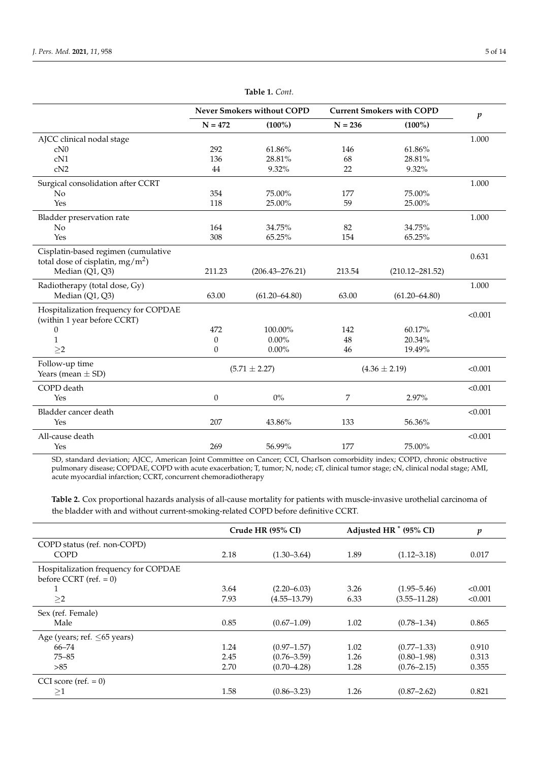<span id="page-4-0"></span>

|                                                                            | <b>Never Smokers without COPD</b> |                     | <b>Current Smokers with COPD</b> |                     | $\boldsymbol{p}$ |
|----------------------------------------------------------------------------|-----------------------------------|---------------------|----------------------------------|---------------------|------------------|
|                                                                            | $N = 472$                         | $(100\%)$           | $N = 236$                        | $(100\%)$           |                  |
| AJCC clinical nodal stage                                                  |                                   |                     |                                  |                     | 1.000            |
| cN0                                                                        | 292                               | 61.86%              | 146                              | 61.86%              |                  |
| cN1                                                                        | 136                               | 28.81%              | 68                               | 28.81%              |                  |
| cN2                                                                        | 44                                | 9.32%               | 22                               | 9.32%               |                  |
| Surgical consolidation after CCRT                                          |                                   |                     |                                  |                     | 1.000            |
| No                                                                         | 354                               | 75.00%              | 177                              | 75.00%              |                  |
| Yes                                                                        | 118                               | 25.00%              | 59                               | 25.00%              |                  |
| Bladder preservation rate                                                  |                                   |                     |                                  |                     | 1.000            |
| No                                                                         | 164                               | 34.75%              | 82                               | 34.75%              |                  |
| Yes                                                                        | 308                               | 65.25%              | 154                              | 65.25%              |                  |
| Cisplatin-based regimen (cumulative<br>total dose of cisplatin, $mg/m^2$ ) |                                   |                     |                                  |                     | 0.631            |
| Median (Q1, Q3)                                                            | 211.23                            | $(206.43 - 276.21)$ | 213.54                           | $(210.12 - 281.52)$ |                  |
| Radiotherapy (total dose, Gy)                                              |                                   |                     |                                  |                     | 1.000            |
| Median (Q1, Q3)                                                            | 63.00                             | $(61.20 - 64.80)$   | 63.00                            | $(61.20 - 64.80)$   |                  |
| Hospitalization frequency for COPDAE<br>(within 1 year before CCRT)        |                                   |                     |                                  |                     | < 0.001          |
| $\boldsymbol{0}$                                                           | 472                               | 100.00%             | 142                              | 60.17%              |                  |
| $\mathbf{1}$                                                               | $\theta$                          | $0.00\%$            | 48                               | 20.34%              |                  |
| $\geq$ 2                                                                   | $\Omega$                          | $0.00\%$            | 46                               | 19.49%              |                  |
| Follow-up time<br>Years (mean $\pm$ SD)                                    | $(5.71 \pm 2.27)$                 |                     | $(4.36 \pm 2.19)$                |                     | < 0.001          |
|                                                                            |                                   |                     |                                  |                     |                  |
| COPD death<br>Yes                                                          | $\boldsymbol{0}$                  | $0\%$               | 7                                | 2.97%               | < 0.001          |
|                                                                            |                                   |                     |                                  |                     |                  |
| Bladder cancer death                                                       |                                   |                     |                                  |                     | < 0.001          |
| Yes                                                                        | 207                               | 43.86%              | 133                              | 56.36%              |                  |
| All-cause death                                                            |                                   |                     |                                  |                     | < 0.001          |
| Yes                                                                        | 269                               | 56.99%              | 177                              | 75.00%              |                  |

**Table 1.** *Cont.*

SD, standard deviation; AJCC, American Joint Committee on Cancer; CCI, Charlson comorbidity index; COPD, chronic obstructive pulmonary disease; COPDAE, COPD with acute exacerbation; T, tumor; N, node; cT, clinical tumor stage; cN, clinical nodal stage; AMI, acute myocardial infarction; CCRT, concurrent chemoradiotherapy

**Table 2.** Cox proportional hazards analysis of all-cause mortality for patients with muscle-invasive urothelial carcinoma of the bladder with and without current-smoking-related COPD before definitive CCRT.

|                                      | Crude HR (95% CI) |                  | Adjusted HR <sup>*</sup> (95% CI) |                  | $\boldsymbol{p}$ |
|--------------------------------------|-------------------|------------------|-----------------------------------|------------------|------------------|
| COPD status (ref. non-COPD)          |                   |                  |                                   |                  |                  |
| <b>COPD</b>                          | 2.18              | $(1.30 - 3.64)$  | 1.89                              | $(1.12 - 3.18)$  | 0.017            |
| Hospitalization frequency for COPDAE |                   |                  |                                   |                  |                  |
| before CCRT (ref. $= 0$ )            |                   |                  |                                   |                  |                  |
| 1                                    | 3.64              | $(2.20 - 6.03)$  | 3.26                              | $(1.95 - 5.46)$  | < 0.001          |
| >2                                   | 7.93              | $(4.55 - 13.79)$ | 6.33                              | $(3.55 - 11.28)$ | < 0.001          |
| Sex (ref. Female)                    |                   |                  |                                   |                  |                  |
| Male                                 | 0.85              | $(0.67 - 1.09)$  | 1.02                              | $(0.78 - 1.34)$  | 0.865            |
| Age (years; ref. $\leq 65$ years)    |                   |                  |                                   |                  |                  |
| $66 - 74$                            | 1.24              | $(0.97 - 1.57)$  | 1.02                              | $(0.77 - 1.33)$  | 0.910            |
| $75 - 85$                            | 2.45              | $(0.76 - 3.59)$  | 1.26                              | $(0.80 - 1.98)$  | 0.313            |
| >85                                  | 2.70              | $(0.70 - 4.28)$  | 1.28                              | $(0.76 - 2.15)$  | 0.355            |
| CCI score (ref. $= 0$ )              |                   |                  |                                   |                  |                  |
| $\geq1$                              | 1.58              | $(0.86 - 3.23)$  | 1.26                              | $(0.87 - 2.62)$  | 0.821            |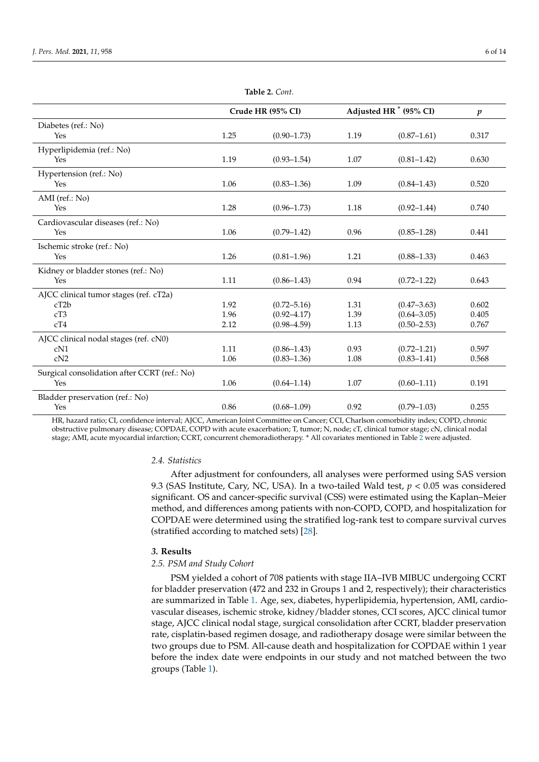<span id="page-5-0"></span>

|                                              | Crude HR (95% CI) |                 | Adjusted HR <sup>*</sup> (95% CI) |                 | $\boldsymbol{p}$ |
|----------------------------------------------|-------------------|-----------------|-----------------------------------|-----------------|------------------|
| Diabetes (ref.: No)                          |                   |                 |                                   |                 |                  |
| Yes                                          | 1.25              | $(0.90 - 1.73)$ | 1.19                              | $(0.87 - 1.61)$ | 0.317            |
| Hyperlipidemia (ref.: No)                    |                   |                 |                                   |                 |                  |
| Yes                                          | 1.19              | $(0.93 - 1.54)$ | 1.07                              | $(0.81 - 1.42)$ | 0.630            |
| Hypertension (ref.: No)                      |                   |                 |                                   |                 |                  |
| Yes                                          | 1.06              | $(0.83 - 1.36)$ | 1.09                              | $(0.84 - 1.43)$ | 0.520            |
| AMI (ref.: No)                               |                   |                 |                                   |                 |                  |
| <b>Yes</b>                                   | 1.28              | $(0.96 - 1.73)$ | 1.18                              | $(0.92 - 1.44)$ | 0.740            |
| Cardiovascular diseases (ref.: No)           |                   |                 |                                   |                 |                  |
| Yes                                          | 1.06              | $(0.79 - 1.42)$ | 0.96                              | $(0.85 - 1.28)$ | 0.441            |
| Ischemic stroke (ref.: No)                   |                   |                 |                                   |                 |                  |
| Yes                                          | 1.26              | $(0.81 - 1.96)$ | 1.21                              | $(0.88 - 1.33)$ | 0.463            |
| Kidney or bladder stones (ref.: No)          |                   |                 |                                   |                 |                  |
| Yes                                          | 1.11              | $(0.86 - 1.43)$ | 0.94                              | $(0.72 - 1.22)$ | 0.643            |
| AJCC clinical tumor stages (ref. cT2a)       |                   |                 |                                   |                 |                  |
| cT2b                                         | 1.92              | $(0.72 - 5.16)$ | 1.31                              | $(0.47 - 3.63)$ | 0.602            |
| cT3                                          | 1.96              | $(0.92 - 4.17)$ | 1.39                              | $(0.64 - 3.05)$ | 0.405            |
| cT4                                          | 2.12              | $(0.98 - 4.59)$ | 1.13                              | $(0.50 - 2.53)$ | 0.767            |
| AJCC clinical nodal stages (ref. cN0)        |                   |                 |                                   |                 |                  |
| cN1                                          | 1.11              | $(0.86 - 1.43)$ | 0.93                              | $(0.72 - 1.21)$ | 0.597            |
| cN2                                          | 1.06              | $(0.83 - 1.36)$ | 1.08                              | $(0.83 - 1.41)$ | 0.568            |
| Surgical consolidation after CCRT (ref.: No) |                   |                 |                                   |                 |                  |
| Yes                                          | 1.06              | $(0.64 - 1.14)$ | 1.07                              | $(0.60 - 1.11)$ | 0.191            |
| Bladder preservation (ref.: No)              |                   |                 |                                   |                 |                  |
| Yes                                          | 0.86              | $(0.68 - 1.09)$ | 0.92                              | $(0.79 - 1.03)$ | 0.255            |

**Table 2.** *Cont.*

HR, hazard ratio; CI, confidence interval; AJCC, American Joint Committee on Cancer; CCI, Charlson comorbidity index; COPD, chronic obstructive pulmonary disease; COPDAE, COPD with acute exacerbation; T, tumor; N, node; cT, clinical tumor stage; cN, clinical nodal stage; AMI, acute myocardial infarction; CCRT, concurrent chemoradiotherapy. \* All covariates mentioned in Table [2](#page-5-0) were adjusted.

### *2.4. Statistics*

After adjustment for confounders, all analyses were performed using SAS version 9.3 (SAS Institute, Cary, NC, USA). In a two-tailed Wald test, *p* < 0.05 was considered significant. OS and cancer-specific survival (CSS) were estimated using the Kaplan–Meier method, and differences among patients with non-COPD, COPD, and hospitalization for COPDAE were determined using the stratified log-rank test to compare survival curves (stratified according to matched sets) [\[28\]](#page-12-7).

# *3.* **Results**

# *2.5. PSM and Study Cohort*

PSM yielded a cohort of 708 patients with stage IIA–IVB MIBUC undergoing CCRT for bladder preservation (472 and 232 in Groups 1 and 2, respectively); their characteristics are summarized in Table [1.](#page-4-0) Age, sex, diabetes, hyperlipidemia, hypertension, AMI, cardiovascular diseases, ischemic stroke, kidney/bladder stones, CCI scores, AJCC clinical tumor stage, AJCC clinical nodal stage, surgical consolidation after CCRT, bladder preservation rate, cisplatin-based regimen dosage, and radiotherapy dosage were similar between the two groups due to PSM. All-cause death and hospitalization for COPDAE within 1 year before the index date were endpoints in our study and not matched between the two groups (Table [1\)](#page-4-0).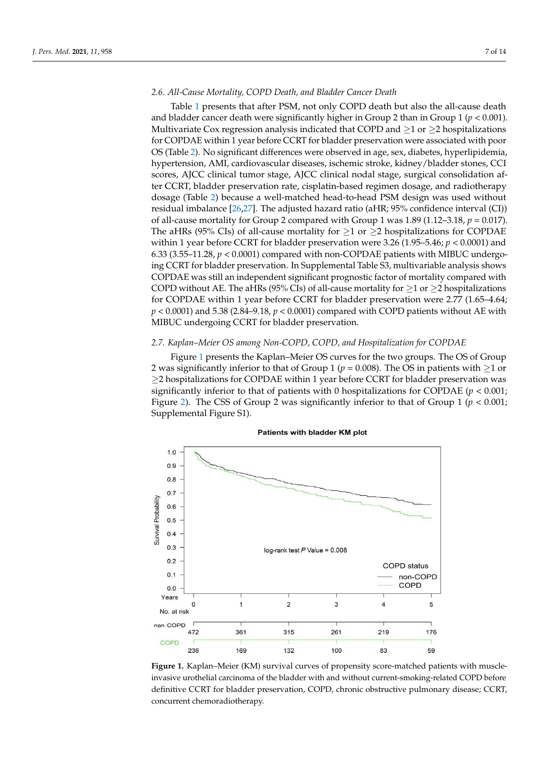# *2.6. All-Cause Mortality, COPD Death, and Bladder Cancer Death*

Table [1](#page-4-0) presents that after PSM, not only COPD death but also the all-cause death and bladder cancer death were significantly higher in Group 2 than in Group 1 (*p* < 0.001). Multivariate Cox regression analysis indicated that COPD and  $\geq 1$  or  $\geq 2$  hospitalizations for COPDAE within 1 year before CCRT for bladder preservation were associated with poor OS (Table [2\)](#page-5-0). No significant differences were observed in age, sex, diabetes, hyperlipidemia, hypertension, AMI, cardiovascular diseases, ischemic stroke, kidney/bladder stones, CCI scores, AJCC clinical tumor stage, AJCC clinical nodal stage, surgical consolidation after CCRT, bladder preservation rate, cisplatin-based regimen dosage, and radiotherapy dosage (Table [2\)](#page-5-0) because a well-matched head-to-head PSM design was used without residual imbalance [\[26](#page-12-5)[,27\]](#page-12-6). The adjusted hazard ratio (aHR; 95% confidence interval (CI)) of all-cause mortality for Group 2 compared with Group 1 was 1.89 (1.12–3.18, *p* = 0.017). The aHRs (95% CIs) of all-cause mortality for  $\geq$ 1 or  $\geq$ 2 hospitalizations for COPDAE within 1 year before CCRT for bladder preservation were 3.26 (1.95–5.46; *p* < 0.0001) and 6.33 (3.55–11.28,  $p < 0.0001$ ) compared with non-COPDAE patients with MIBUC undergoing CCRT for bladder preservation. In Supplemental Table S3, multivariable analysis shows COPDAE was still an independent significant prognostic factor of mortality compared with COPD without AE. The aHRs (95% CIs) of all-cause mortality for  $\geq$ 1 or  $\geq$ 2 hospitalizations for COPDAE within 1 year before CCRT for bladder preservation were 2.77 (1.65–4.64; *p* < 0.0001) and 5.38 (2.84–9.18, *p* < 0.0001) compared with COPD patients without AE with MIBUC undergoing CCRT for bladder preservation. *3.3. Kaplan–Meier OS Among Non-COPD, COPD, and Hospitalization for COPDAE*

# 2.7. Kaplan–Meier OS among Non-COPD, COPD, and Hospitalization for COPDAE

Figure 1 presents the Kaplan–Meier OS curves for the two groups. The OS of Group 2 was significantly inferior to that of Group 1 ( $p = 0.008$ ). The OS in patients with  $\geq$ 1 or ≥2 hospitalizations for COPDAE within 1 year before CCRT for bladder preservation was significantly inferior to that of patients with 0 hospitalizations for COPDAE ( $p < 0.001$ ; Figure [2\)](#page-7-0). The CSS of Group 2 was significantly inferior to that of Group  $1 (p < 0.001;$ Supplemental Figure S1).

<span id="page-6-0"></span>

invasive urothelial carcinoma of the bladder with and without current-smoking-related COPD before definitive CCRT for bladder preservation, COPD, chronic obstructive pulmonary disease; CCRT, concurrent chemoradiotherapy. **Figure 1.** Kaplan–Meier (KM) survival curves of propensity score-matched patients with muscle-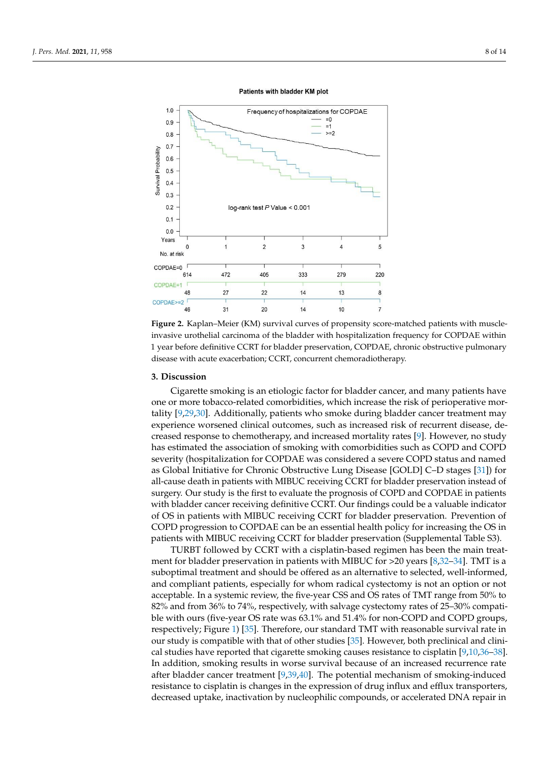<span id="page-7-0"></span>

#### Patients with bladder KM plot

invasive urothelial carcinoma of the bladder with hospitalization frequency for COPDAE within 1 year before definitive CCRT for bladder preservation, COPDAE, chronic obstructive pulmonary preservation, COPDAE, chronic obstructive pulmonary disease with acute exacerbation; CCRT, concurrent chemoradio-disease with acute exacerbation; CCRT, concurrent chemoradiotherapy. **Figure 2.** Kaplan–Meier (KM) survival curves of propensity score-matched patients with muscle-

#### **3. Discussion**

**4. Discussion** Cigarette smoking is an etiologic factor for bladder cancer, and many patients have one or more tobacco-related comorbidities, which increase the risk of perioperative mortality [9,29,30]. Additionally, patients who s[mo](#page-12-8)ke during bladder cancer treatment may experience worsened clinical outcomes, such as increased risk of recurrent disease, de-creased response to chemotherapy, and increased mortality rates [\[9\]](#page-11-8). However, no study has estimated the association of smoking with comorbidities such as COPD and COPD severity (hospitalization for COPDAE was considered a severe COPD status and named as Global Initiative for Chronic Obstructive Lung Disease [GOLD] C-D stages [31]) for all-cause death in patients with MIBUC receiving CCRT for bladder preservation instead of surgery. Our study is the first to evaluate the prognosis of COPD and COPDAE in patients with bladder cancer receiving definitive CCRT. Our findings could be a valuable indicator of OS in patients with MIBUC receiving CCRT for bladder preservation. Prevention of COPD progression to COPDAE can be an essential health policy for increasing the OS in patients with MIBUC receiving CCRT for bladder preservation (Supplemental Table S3).

TURBT followed by CCRT with a cisplatin-based regimen has been the main treat-ment for bladder preservation in patients with MIBUC for >20 years [\[8](#page-11-7)[,32–](#page-12-11)[34\]](#page-12-12). TMT is a suboptimal treatment and should be offered as an alternative to selected, well-informed, and compliant patients, especially for whom radical cystectomy is not an option or not acceptable. In a systemic review, the five-year CSS and OS rates of TMT range from 50% to  $82\%$  and from 36% to 74%, respectively, with salvage cystectomy rates of 25–30% compatible with ours (five-year OS rate was 63.1% and 51.4% for non-COPD and COPD groups, respectively; Figure 1) [\[35\]](#page-12-13). Therefore, our standard TMT with reasonable survival rate in our study is compatible with that of other studies [\[35\]](#page-12-13). However, both preclinical and clini-cal studies have reported that cigarette smoking causes resistance to cisplatin [\[9](#page-11-8)[,10](#page-11-9)[,36](#page-12-14)[–38\]](#page-12-15). In addition, smoking results in worse survival because of an increased recurrence rate after bladder cancer treatment  $[9,39,40]$  $[9,39,40]$  $[9,39,40]$ . The potential mechanism of smoking-induced resistance to cisplatin is changes in the expression of drug influx and efflux transporters, decreased uptake, inactivation by nucleophilic compounds, or accelerated DNA repair in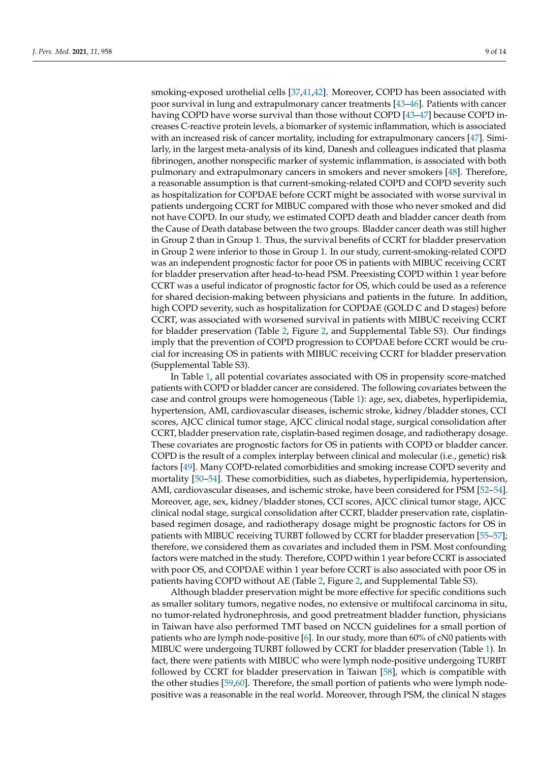smoking-exposed urothelial cells [\[37](#page-12-18)[,41](#page-12-19)[,42\]](#page-13-0). Moreover, COPD has been associated with poor survival in lung and extrapulmonary cancer treatments [\[43–](#page-13-1)[46\]](#page-13-2). Patients with cancer having COPD have worse survival than those without COPD [\[43](#page-13-1)[–47\]](#page-13-3) because COPD increases C-reactive protein levels, a biomarker of systemic inflammation, which is associated with an increased risk of cancer mortality, including for extrapulmonary cancers [\[47\]](#page-13-3). Similarly, in the largest meta-analysis of its kind, Danesh and colleagues indicated that plasma fibrinogen, another nonspecific marker of systemic inflammation, is associated with both pulmonary and extrapulmonary cancers in smokers and never smokers [\[48\]](#page-13-4). Therefore, a reasonable assumption is that current-smoking-related COPD and COPD severity such as hospitalization for COPDAE before CCRT might be associated with worse survival in patients undergoing CCRT for MIBUC compared with those who never smoked and did not have COPD. In our study, we estimated COPD death and bladder cancer death from the Cause of Death database between the two groups. Bladder cancer death was still higher in Group 2 than in Group 1. Thus, the survival benefits of CCRT for bladder preservation in Group 2 were inferior to those in Group 1. In our study, current-smoking-related COPD was an independent prognostic factor for poor OS in patients with MIBUC receiving CCRT for bladder preservation after head-to-head PSM. Preexisting COPD within 1 year before CCRT was a useful indicator of prognostic factor for OS, which could be used as a reference for shared decision-making between physicians and patients in the future. In addition, high COPD severity, such as hospitalization for COPDAE (GOLD C and D stages) before CCRT, was associated with worsened survival in patients with MIBUC receiving CCRT for bladder preservation (Table [2,](#page-5-0) Figure [2,](#page-7-0) and Supplemental Table S3). Our findings imply that the prevention of COPD progression to COPDAE before CCRT would be crucial for increasing OS in patients with MIBUC receiving CCRT for bladder preservation (Supplemental Table S3).

In Table [1,](#page-4-0) all potential covariates associated with OS in propensity score-matched patients with COPD or bladder cancer are considered. The following covariates between the case and control groups were homogeneous (Table [1\)](#page-4-0): age, sex, diabetes, hyperlipidemia, hypertension, AMI, cardiovascular diseases, ischemic stroke, kidney/bladder stones, CCI scores, AJCC clinical tumor stage, AJCC clinical nodal stage, surgical consolidation after CCRT, bladder preservation rate, cisplatin-based regimen dosage, and radiotherapy dosage. These covariates are prognostic factors for OS in patients with COPD or bladder cancer. COPD is the result of a complex interplay between clinical and molecular (i.e., genetic) risk factors [\[49\]](#page-13-5). Many COPD-related comorbidities and smoking increase COPD severity and mortality [\[50](#page-13-6)[–54\]](#page-13-7). These comorbidities, such as diabetes, hyperlipidemia, hypertension, AMI, cardiovascular diseases, and ischemic stroke, have been considered for PSM [\[52](#page-13-8)[–54\]](#page-13-7). Moreover, age, sex, kidney/bladder stones, CCI scores, AJCC clinical tumor stage, AJCC clinical nodal stage, surgical consolidation after CCRT, bladder preservation rate, cisplatinbased regimen dosage, and radiotherapy dosage might be prognostic factors for OS in patients with MIBUC receiving TURBT followed by CCRT for bladder preservation [\[55–](#page-13-9)[57\]](#page-13-10); therefore, we considered them as covariates and included them in PSM. Most confounding factors were matched in the study. Therefore, COPD within 1 year before CCRT is associated with poor OS, and COPDAE within 1 year before CCRT is also associated with poor OS in patients having COPD without AE (Table [2,](#page-5-0) Figure [2,](#page-7-0) and Supplemental Table S3).

Although bladder preservation might be more effective for specific conditions such as smaller solitary tumors, negative nodes, no extensive or multifocal carcinoma in situ, no tumor-related hydronephrosis, and good pretreatment bladder function, physicians in Taiwan have also performed TMT based on NCCN guidelines for a small portion of patients who are lymph node-positive [\[6\]](#page-11-5). In our study, more than 60% of cN0 patients with MIBUC were undergoing TURBT followed by CCRT for bladder preservation (Table [1\)](#page-4-0). In fact, there were patients with MIBUC who were lymph node-positive undergoing TURBT followed by CCRT for bladder preservation in Taiwan [\[58\]](#page-13-11), which is compatible with the other studies [\[59,](#page-13-12)[60\]](#page-13-13). Therefore, the small portion of patients who were lymph nodepositive was a reasonable in the real world. Moreover, through PSM, the clinical N stages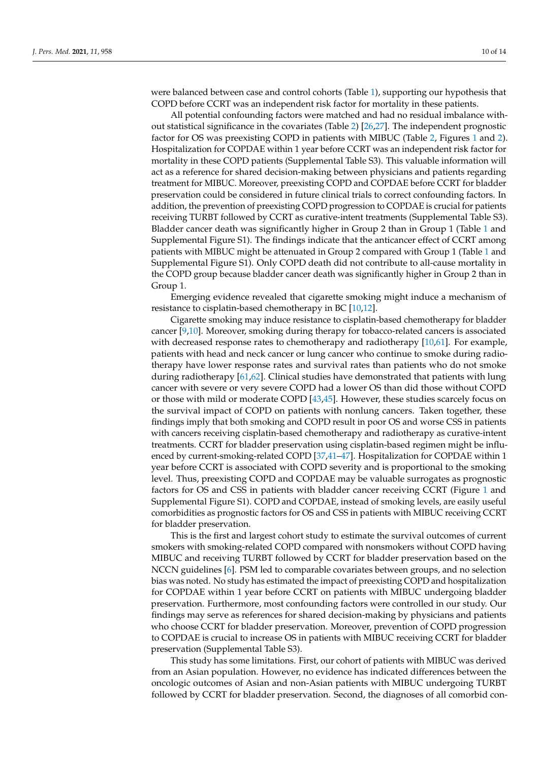were balanced between case and control cohorts (Table [1\)](#page-4-0), supporting our hypothesis that COPD before CCRT was an independent risk factor for mortality in these patients.

All potential confounding factors were matched and had no residual imbalance without statistical significance in the covariates (Table [2\)](#page-5-0) [\[26](#page-12-5)[,27\]](#page-12-6). The independent prognostic factor for OS was preexisting COPD in patients with MIBUC (Table [2,](#page-5-0) Figures [1](#page-6-0) and [2\)](#page-7-0). Hospitalization for COPDAE within 1 year before CCRT was an independent risk factor for mortality in these COPD patients (Supplemental Table S3). This valuable information will act as a reference for shared decision-making between physicians and patients regarding treatment for MIBUC. Moreover, preexisting COPD and COPDAE before CCRT for bladder preservation could be considered in future clinical trials to correct confounding factors. In addition, the prevention of preexisting COPD progression to COPDAE is crucial for patients receiving TURBT followed by CCRT as curative-intent treatments (Supplemental Table S3). Bladder cancer death was significantly higher in Group 2 than in Group 1 (Table [1](#page-4-0) and Supplemental Figure S1). The findings indicate that the anticancer effect of CCRT among patients with MIBUC might be attenuated in Group 2 compared with Group 1 (Table [1](#page-4-0) and Supplemental Figure S1). Only COPD death did not contribute to all-cause mortality in the COPD group because bladder cancer death was significantly higher in Group 2 than in Group 1.

Emerging evidence revealed that cigarette smoking might induce a mechanism of resistance to cisplatin-based chemotherapy in BC [\[10](#page-11-9)[,12\]](#page-11-13).

Cigarette smoking may induce resistance to cisplatin-based chemotherapy for bladder cancer [\[9](#page-11-8)[,10\]](#page-11-9). Moreover, smoking during therapy for tobacco-related cancers is associated with decreased response rates to chemotherapy and radiotherapy [\[10](#page-11-9)[,61\]](#page-13-14). For example, patients with head and neck cancer or lung cancer who continue to smoke during radiotherapy have lower response rates and survival rates than patients who do not smoke during radiotherapy [\[61,](#page-13-14)[62\]](#page-13-15). Clinical studies have demonstrated that patients with lung cancer with severe or very severe COPD had a lower OS than did those without COPD or those with mild or moderate COPD [\[43,](#page-13-1)[45\]](#page-13-16). However, these studies scarcely focus on the survival impact of COPD on patients with nonlung cancers. Taken together, these findings imply that both smoking and COPD result in poor OS and worse CSS in patients with cancers receiving cisplatin-based chemotherapy and radiotherapy as curative-intent treatments. CCRT for bladder preservation using cisplatin-based regimen might be influenced by current-smoking-related COPD [\[37,](#page-12-18)[41](#page-12-19)[–47\]](#page-13-3). Hospitalization for COPDAE within 1 year before CCRT is associated with COPD severity and is proportional to the smoking level. Thus, preexisting COPD and COPDAE may be valuable surrogates as prognostic factors for OS and CSS in patients with bladder cancer receiving CCRT (Figure [1](#page-6-0) and Supplemental Figure S1). COPD and COPDAE, instead of smoking levels, are easily useful comorbidities as prognostic factors for OS and CSS in patients with MIBUC receiving CCRT for bladder preservation.

This is the first and largest cohort study to estimate the survival outcomes of current smokers with smoking-related COPD compared with nonsmokers without COPD having MIBUC and receiving TURBT followed by CCRT for bladder preservation based on the NCCN guidelines [\[6\]](#page-11-5). PSM led to comparable covariates between groups, and no selection bias was noted. No study has estimated the impact of preexisting COPD and hospitalization for COPDAE within 1 year before CCRT on patients with MIBUC undergoing bladder preservation. Furthermore, most confounding factors were controlled in our study. Our findings may serve as references for shared decision-making by physicians and patients who choose CCRT for bladder preservation. Moreover, prevention of COPD progression to COPDAE is crucial to increase OS in patients with MIBUC receiving CCRT for bladder preservation (Supplemental Table S3).

This study has some limitations. First, our cohort of patients with MIBUC was derived from an Asian population. However, no evidence has indicated differences between the oncologic outcomes of Asian and non-Asian patients with MIBUC undergoing TURBT followed by CCRT for bladder preservation. Second, the diagnoses of all comorbid con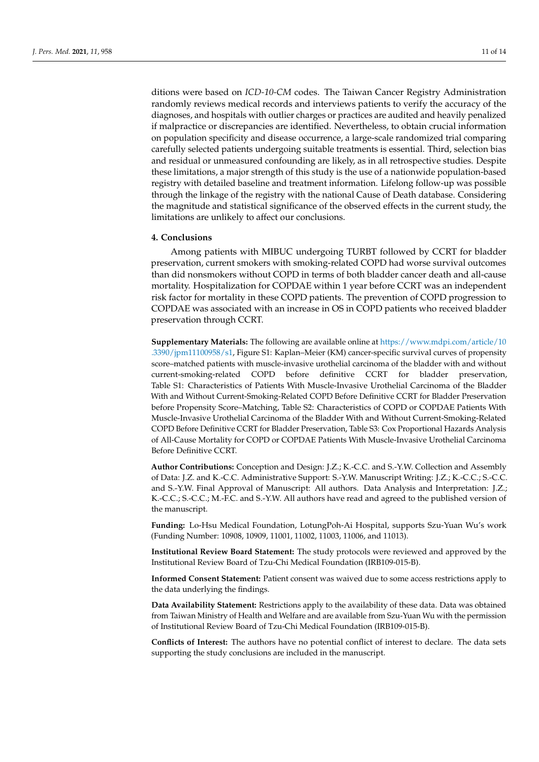ditions were based on *ICD-10-CM* codes. The Taiwan Cancer Registry Administration randomly reviews medical records and interviews patients to verify the accuracy of the diagnoses, and hospitals with outlier charges or practices are audited and heavily penalized if malpractice or discrepancies are identified. Nevertheless, to obtain crucial information on population specificity and disease occurrence, a large-scale randomized trial comparing carefully selected patients undergoing suitable treatments is essential. Third, selection bias and residual or unmeasured confounding are likely, as in all retrospective studies. Despite these limitations, a major strength of this study is the use of a nationwide population-based registry with detailed baseline and treatment information. Lifelong follow-up was possible through the linkage of the registry with the national Cause of Death database. Considering the magnitude and statistical significance of the observed effects in the current study, the limitations are unlikely to affect our conclusions.

#### **4. Conclusions**

Among patients with MIBUC undergoing TURBT followed by CCRT for bladder preservation, current smokers with smoking-related COPD had worse survival outcomes than did nonsmokers without COPD in terms of both bladder cancer death and all-cause mortality. Hospitalization for COPDAE within 1 year before CCRT was an independent risk factor for mortality in these COPD patients. The prevention of COPD progression to COPDAE was associated with an increase in OS in COPD patients who received bladder preservation through CCRT.

**Supplementary Materials:** The following are available online at [https://www.mdpi.com/article/10](https://www.mdpi.com/article/10.3390/jpm11100958/s1) [.3390/jpm11100958/s1,](https://www.mdpi.com/article/10.3390/jpm11100958/s1) Figure S1: Kaplan–Meier (KM) cancer-specific survival curves of propensity score–matched patients with muscle-invasive urothelial carcinoma of the bladder with and without current-smoking-related COPD before definitive CCRT for bladder preservation, Table S1: Characteristics of Patients With Muscle-Invasive Urothelial Carcinoma of the Bladder With and Without Current-Smoking-Related COPD Before Definitive CCRT for Bladder Preservation before Propensity Score–Matching, Table S2: Characteristics of COPD or COPDAE Patients With Muscle-Invasive Urothelial Carcinoma of the Bladder With and Without Current-Smoking-Related COPD Before Definitive CCRT for Bladder Preservation, Table S3: Cox Proportional Hazards Analysis of All-Cause Mortality for COPD or COPDAE Patients With Muscle-Invasive Urothelial Carcinoma Before Definitive CCRT.

**Author Contributions:** Conception and Design: J.Z.; K.-C.C. and S.-Y.W. Collection and Assembly of Data: J.Z. and K.-C.C. Administrative Support: S.-Y.W. Manuscript Writing: J.Z.; K.-C.C.; S.-C.C. and S.-Y.W. Final Approval of Manuscript: All authors. Data Analysis and Interpretation: J.Z.; K.-C.C.; S.-C.C.; M.-F.C. and S.-Y.W. All authors have read and agreed to the published version of the manuscript.

**Funding:** Lo-Hsu Medical Foundation, LotungPoh-Ai Hospital, supports Szu-Yuan Wu's work (Funding Number: 10908, 10909, 11001, 11002, 11003, 11006, and 11013).

**Institutional Review Board Statement:** The study protocols were reviewed and approved by the Institutional Review Board of Tzu-Chi Medical Foundation (IRB109-015-B).

**Informed Consent Statement:** Patient consent was waived due to some access restrictions apply to the data underlying the findings.

**Data Availability Statement:** Restrictions apply to the availability of these data. Data was obtained from Taiwan Ministry of Health and Welfare and are available from Szu-Yuan Wu with the permission of Institutional Review Board of Tzu-Chi Medical Foundation (IRB109-015-B).

**Conflicts of Interest:** The authors have no potential conflict of interest to declare. The data sets supporting the study conclusions are included in the manuscript.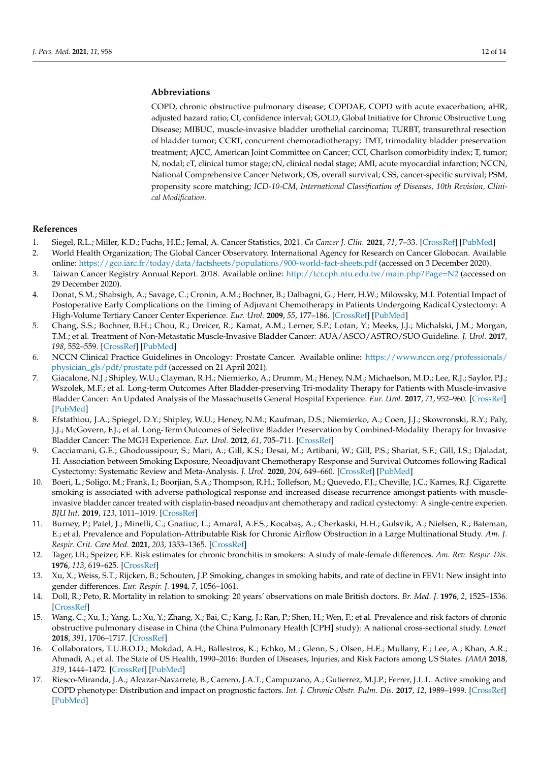# **Abbreviations**

COPD, chronic obstructive pulmonary disease; COPDAE, COPD with acute exacerbation; aHR, adjusted hazard ratio; CI, confidence interval; GOLD, Global Initiative for Chronic Obstructive Lung Disease; MIBUC, muscle-invasive bladder urothelial carcinoma; TURBT, transurethral resection of bladder tumor; CCRT, concurrent chemoradiotherapy; TMT, trimodality bladder preservation treatment; AJCC, American Joint Committee on Cancer; CCI, Charlson comorbidity index; T, tumor; N, nodal; cT, clinical tumor stage; cN, clinical nodal stage; AMI, acute myocardial infarction; NCCN, National Comprehensive Cancer Network; OS, overall survival; CSS, cancer-specific survival; PSM, propensity score matching; *ICD-10-CM*, *International Classification of Diseases, 10th Revision, Clinical Modification.*

# **References**

- <span id="page-11-0"></span>1. Siegel, R.L.; Miller, K.D.; Fuchs, H.E.; Jemal, A. Cancer Statistics, 2021. *Ca Cancer J. Clin.* **2021**, *71*, 7–33. [\[CrossRef\]](http://doi.org/10.3322/caac.21654) [\[PubMed\]](http://www.ncbi.nlm.nih.gov/pubmed/33433946)
- <span id="page-11-1"></span>2. World Health Organization; The Global Cancer Observatory. International Agency for Research on Cancer Globocan. Available online: <https://gco.iarc.fr/today/data/factsheets/populations/900-world-fact-sheets.pdf> (accessed on 3 December 2020).
- <span id="page-11-2"></span>3. Taiwan Cancer Registry Annual Report. 2018. Available online: <http://tcr.cph.ntu.edu.tw/main.php?Page=N2> (accessed on 29 December 2020).
- <span id="page-11-3"></span>4. Donat, S.M.; Shabsigh, A.; Savage, C.; Cronin, A.M.; Bochner, B.; Dalbagni, G.; Herr, H.W.; Milowsky, M.I. Potential Impact of Postoperative Early Complications on the Timing of Adjuvant Chemotherapy in Patients Undergoing Radical Cystectomy: A High-Volume Tertiary Cancer Center Experience. *Eur. Urol.* **2009**, *55*, 177–186. [\[CrossRef\]](http://doi.org/10.1016/j.eururo.2008.07.018) [\[PubMed\]](http://www.ncbi.nlm.nih.gov/pubmed/18640770)
- <span id="page-11-4"></span>5. Chang, S.S.; Bochner, B.H.; Chou, R.; Dreicer, R.; Kamat, A.M.; Lerner, S.P.; Lotan, Y.; Meeks, J.J.; Michalski, J.M.; Morgan, T.M.; et al. Treatment of Non-Metastatic Muscle-Invasive Bladder Cancer: AUA/ASCO/ASTRO/SUO Guideline. *J. Urol.* **2017**, *198*, 552–559. [\[CrossRef\]](http://doi.org/10.1016/j.juro.2017.04.086) [\[PubMed\]](http://www.ncbi.nlm.nih.gov/pubmed/28456635)
- <span id="page-11-5"></span>6. NCCN Clinical Practice Guidelines in Oncology: Prostate Cancer. Available online: [https://www.nccn.org/professionals/](https://www.nccn.org/professionals/physician_gls/pdf/prostate.pdf) [physician\\_gls/pdf/prostate.pdf](https://www.nccn.org/professionals/physician_gls/pdf/prostate.pdf) (accessed on 21 April 2021).
- <span id="page-11-6"></span>7. Giacalone, N.J.; Shipley, W.U.; Clayman, R.H.; Niemierko, A.; Drumm, M.; Heney, N.M.; Michaelson, M.D.; Lee, R.J.; Saylor, P.J.; Wszolek, M.F.; et al. Long-term Outcomes After Bladder-preserving Tri-modality Therapy for Patients with Muscle-invasive Bladder Cancer: An Updated Analysis of the Massachusetts General Hospital Experience. *Eur. Urol.* **2017**, *71*, 952–960. [\[CrossRef\]](http://doi.org/10.1016/j.eururo.2016.12.020) [\[PubMed\]](http://www.ncbi.nlm.nih.gov/pubmed/28081860)
- <span id="page-11-7"></span>8. Efstathiou, J.A.; Spiegel, D.Y.; Shipley, W.U.; Heney, N.M.; Kaufman, D.S.; Niemierko, A.; Coen, J.J.; Skowronski, R.Y.; Paly, J.J.; McGovern, F.J.; et al. Long-Term Outcomes of Selective Bladder Preservation by Combined-Modality Therapy for Invasive Bladder Cancer: The MGH Experience. *Eur. Urol.* **2012**, *61*, 705–711. [\[CrossRef\]](http://doi.org/10.1016/j.eururo.2011.11.010)
- <span id="page-11-8"></span>9. Cacciamani, G.E.; Ghodoussipour, S.; Mari, A.; Gill, K.S.; Desai, M.; Artibani, W.; Gill, P.S.; Shariat, S.F.; Gill, I.S.; Djaladat, H. Association between Smoking Exposure, Neoadjuvant Chemotherapy Response and Survival Outcomes following Radical Cystectomy: Systematic Review and Meta-Analysis. *J. Urol.* **2020**, *204*, 649–660. [\[CrossRef\]](http://doi.org/10.1097/JU.0000000000000813) [\[PubMed\]](http://www.ncbi.nlm.nih.gov/pubmed/32105187)
- <span id="page-11-9"></span>10. Boeri, L.; Soligo, M.; Frank, I.; Boorjian, S.A.; Thompson, R.H.; Tollefson, M.; Quevedo, F.J.; Cheville, J.C.; Karnes, R.J. Cigarette smoking is associated with adverse pathological response and increased disease recurrence amongst patients with muscleinvasive bladder cancer treated with cisplatin-based neoadjuvant chemotherapy and radical cystectomy: A single-centre experien. *BJU Int.* **2019**, *123*, 1011–1019. [\[CrossRef\]](http://doi.org/10.1111/bju.14612)
- <span id="page-11-10"></span>11. Burney, P.; Patel, J.; Minelli, C.; Gnatiuc, L.; Amaral, A.F.S.; Kocabaş, A.; Cherkaski, H.H.; Gulsvik, A.; Nielsen, R.; Bateman, E.; et al. Prevalence and Population-Attributable Risk for Chronic Airflow Obstruction in a Large Multinational Study. *Am. J. Respir. Crit. Care Med.* **2021**, *203*, 1353–1365. [\[CrossRef\]](http://doi.org/10.1164/rccm.202005-1990OC)
- <span id="page-11-13"></span>12. Tager, I.B.; Speizer, F.E. Risk estimates for chronic bronchitis in smokers: A study of male-female differences. *Am. Rev. Respir. Dis.* **1976**, *113*, 619–625. [\[CrossRef\]](http://doi.org/10.1164/arrd.1976.113.5.619)
- 13. Xu, X.; Weiss, S.T.; Rijcken, B.; Schouten, J.P. Smoking, changes in smoking habits, and rate of decline in FEV1: New insight into gender differences. *Eur. Respir. J.* **1994**, *7*, 1056–1061.
- 14. Doll, R.; Peto, R. Mortality in relation to smoking: 20 years' observations on male British doctors. *Br. Med. J.* **1976**, *2*, 1525–1536. [\[CrossRef\]](http://doi.org/10.1136/bmj.2.6051.1525)
- 15. Wang, C.; Xu, J.; Yang, L.; Xu, Y.; Zhang, X.; Bai, C.; Kang, J.; Ran, P.; Shen, H.; Wen, F.; et al. Prevalence and risk factors of chronic obstructive pulmonary disease in China (the China Pulmonary Health [CPH] study): A national cross-sectional study. *Lancet* **2018**, *391*, 1706–1717. [\[CrossRef\]](http://doi.org/10.1016/S0140-6736(18)30841-9)
- <span id="page-11-11"></span>16. Collaborators, T.U.B.O.D.; Mokdad, A.H.; Ballestros, K.; Echko, M.; Glenn, S.; Olsen, H.E.; Mullany, E.; Lee, A.; Khan, A.R.; Ahmadi, A.; et al. The State of US Health, 1990–2016: Burden of Diseases, Injuries, and Risk Factors among US States. *JAMA* **2018**, *319*, 1444–1472. [\[CrossRef\]](http://doi.org/10.1001/jama.2018.0158) [\[PubMed\]](http://www.ncbi.nlm.nih.gov/pubmed/29634829)
- <span id="page-11-12"></span>17. Riesco-Miranda, J.A.; Alcazar-Navarrete, B.; Carrero, J.A.T.; Campuzano, A.; Gutierrez, M.J.P.; Ferrer, J.L.L. Active smoking and COPD phenotype: Distribution and impact on prognostic factors. *Int. J. Chronic Obstr. Pulm. Dis.* **2017**, *12*, 1989–1999. [\[CrossRef\]](http://doi.org/10.2147/COPD.S135344) [\[PubMed\]](http://www.ncbi.nlm.nih.gov/pubmed/28740378)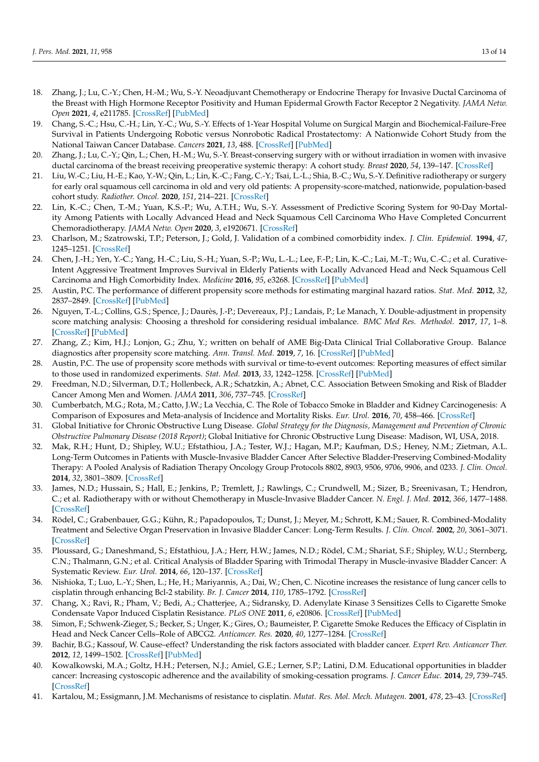- <span id="page-12-0"></span>18. Zhang, J.; Lu, C.-Y.; Chen, H.-M.; Wu, S.-Y. Neoadjuvant Chemotherapy or Endocrine Therapy for Invasive Ductal Carcinoma of the Breast with High Hormone Receptor Positivity and Human Epidermal Growth Factor Receptor 2 Negativity. *JAMA Netw. Open* **2021**, *4*, e211785. [\[CrossRef\]](http://doi.org/10.1001/jamanetworkopen.2021.1785) [\[PubMed\]](http://www.ncbi.nlm.nih.gov/pubmed/33710293)
- 19. Chang, S.-C.; Hsu, C.-H.; Lin, Y.-C.; Wu, S.-Y. Effects of 1-Year Hospital Volume on Surgical Margin and Biochemical-Failure-Free Survival in Patients Undergoing Robotic versus Nonrobotic Radical Prostatectomy: A Nationwide Cohort Study from the National Taiwan Cancer Database. *Cancers* **2021**, *13*, 488. [\[CrossRef\]](http://doi.org/10.3390/cancers13030488) [\[PubMed\]](http://www.ncbi.nlm.nih.gov/pubmed/33513885)
- 20. Zhang, J.; Lu, C.-Y.; Qin, L.; Chen, H.-M.; Wu, S.-Y. Breast-conserving surgery with or without irradiation in women with invasive ductal carcinoma of the breast receiving preoperative systemic therapy: A cohort study. *Breast* **2020**, *54*, 139–147. [\[CrossRef\]](http://doi.org/10.1016/j.breast.2020.09.010)
- 21. Liu, W.-C.; Liu, H.-E.; Kao, Y.-W.; Qin, L.; Lin, K.-C.; Fang, C.-Y.; Tsai, L.-L.; Shia, B.-C.; Wu, S.-Y. Definitive radiotherapy or surgery for early oral squamous cell carcinoma in old and very old patients: A propensity-score-matched, nationwide, population-based cohort study. *Radiother. Oncol.* **2020**, *151*, 214–221. [\[CrossRef\]](http://doi.org/10.1016/j.radonc.2020.08.016)
- <span id="page-12-1"></span>22. Lin, K.-C.; Chen, T.-M.; Yuan, K.S.-P.; Wu, A.T.H.; Wu, S.-Y. Assessment of Predictive Scoring System for 90-Day Mortality Among Patients with Locally Advanced Head and Neck Squamous Cell Carcinoma Who Have Completed Concurrent Chemoradiotherapy. *JAMA Netw. Open* **2020**, *3*, e1920671. [\[CrossRef\]](http://doi.org/10.1001/jamanetworkopen.2019.20671)
- <span id="page-12-2"></span>23. Charlson, M.; Szatrowski, T.P.; Peterson, J.; Gold, J. Validation of a combined comorbidity index. *J. Clin. Epidemiol.* **1994**, *47*, 1245–1251. [\[CrossRef\]](http://doi.org/10.1016/0895-4356(94)90129-5)
- <span id="page-12-3"></span>24. Chen, J.-H.; Yen, Y.-C.; Yang, H.-C.; Liu, S.-H.; Yuan, S.-P.; Wu, L.-L.; Lee, F.-P.; Lin, K.-C.; Lai, M.-T.; Wu, C.-C.; et al. Curative-Intent Aggressive Treatment Improves Survival in Elderly Patients with Locally Advanced Head and Neck Squamous Cell Carcinoma and High Comorbidity Index. *Medicine* **2016**, *95*, e3268. [\[CrossRef\]](http://doi.org/10.1097/MD.0000000000003268) [\[PubMed\]](http://www.ncbi.nlm.nih.gov/pubmed/27057882)
- <span id="page-12-4"></span>25. Austin, P.C. The performance of different propensity score methods for estimating marginal hazard ratios. *Stat. Med.* **2012**, *32*, 2837–2849. [\[CrossRef\]](http://doi.org/10.1002/sim.5705) [\[PubMed\]](http://www.ncbi.nlm.nih.gov/pubmed/23239115)
- <span id="page-12-5"></span>26. Nguyen, T.-L.; Collins, G.S.; Spence, J.; Daurès, J.-P.; Devereaux, P.J.; Landais, P.; Le Manach, Y. Double-adjustment in propensity score matching analysis: Choosing a threshold for considering residual imbalance. *BMC Med Res. Methodol.* **2017**, *17*, 1–8. [\[CrossRef\]](http://doi.org/10.1186/s12874-017-0338-0) [\[PubMed\]](http://www.ncbi.nlm.nih.gov/pubmed/28454568)
- <span id="page-12-6"></span>27. Zhang, Z.; Kim, H.J.; Lonjon, G.; Zhu, Y.; written on behalf of AME Big-Data Clinical Trial Collaborative Group. Balance diagnostics after propensity score matching. *Ann. Transl. Med.* **2019**, *7*, 16. [\[CrossRef\]](http://doi.org/10.21037/atm.2018.12.10) [\[PubMed\]](http://www.ncbi.nlm.nih.gov/pubmed/30788363)
- <span id="page-12-7"></span>28. Austin, P.C. The use of propensity score methods with survival or time-to-event outcomes: Reporting measures of effect similar to those used in randomized experiments. *Stat. Med.* **2013**, *33*, 1242–1258. [\[CrossRef\]](http://doi.org/10.1002/sim.5984) [\[PubMed\]](http://www.ncbi.nlm.nih.gov/pubmed/24122911)
- <span id="page-12-8"></span>29. Freedman, N.D.; Silverman, D.T.; Hollenbeck, A.R.; Schatzkin, A.; Abnet, C.C. Association Between Smoking and Risk of Bladder Cancer Among Men and Women. *JAMA* **2011**, *306*, 737–745. [\[CrossRef\]](http://doi.org/10.1001/jama.2011.1142)
- <span id="page-12-9"></span>30. Cumberbatch, M.G.; Rota, M.; Catto, J.W.; La Vecchia, C. The Role of Tobacco Smoke in Bladder and Kidney Carcinogenesis: A Comparison of Exposures and Meta-analysis of Incidence and Mortality Risks. *Eur. Urol.* **2016**, *70*, 458–466. [\[CrossRef\]](http://doi.org/10.1016/j.eururo.2015.06.042)
- <span id="page-12-10"></span>31. Global Initiative for Chronic Obstructive Lung Disease. *Global Strategy for the Diagnosis, Management and Prevention of Chronic Obstructive Pulmonary Disease (2018 Report)*; Global Initiative for Chronic Obstructive Lung Disease: Madison, WI, USA, 2018.
- <span id="page-12-11"></span>32. Mak, R.H.; Hunt, D.; Shipley, W.U.; Efstathiou, J.A.; Tester, W.J.; Hagan, M.P.; Kaufman, D.S.; Heney, N.M.; Zietman, A.L. Long-Term Outcomes in Patients with Muscle-Invasive Bladder Cancer After Selective Bladder-Preserving Combined-Modality Therapy: A Pooled Analysis of Radiation Therapy Oncology Group Protocols 8802, 8903, 9506, 9706, 9906, and 0233. *J. Clin. Oncol.* **2014**, *32*, 3801–3809. [\[CrossRef\]](http://doi.org/10.1200/JCO.2014.57.5548)
- 33. James, N.D.; Hussain, S.; Hall, E.; Jenkins, P.; Tremlett, J.; Rawlings, C.; Crundwell, M.; Sizer, B.; Sreenivasan, T.; Hendron, C.; et al. Radiotherapy with or without Chemotherapy in Muscle-Invasive Bladder Cancer. *N. Engl. J. Med.* **2012**, *366*, 1477–1488. [\[CrossRef\]](http://doi.org/10.1056/NEJMoa1106106)
- <span id="page-12-12"></span>34. Rödel, C.; Grabenbauer, G.G.; Kühn, R.; Papadopoulos, T.; Dunst, J.; Meyer, M.; Schrott, K.M.; Sauer, R. Combined-Modality Treatment and Selective Organ Preservation in Invasive Bladder Cancer: Long-Term Results. *J. Clin. Oncol.* **2002**, *20*, 3061–3071. [\[CrossRef\]](http://doi.org/10.1200/JCO.2002.11.027)
- <span id="page-12-13"></span>35. Ploussard, G.; Daneshmand, S.; Efstathiou, J.A.; Herr, H.W.; James, N.D.; Rödel, C.M.; Shariat, S.F.; Shipley, W.U.; Sternberg, C.N.; Thalmann, G.N.; et al. Critical Analysis of Bladder Sparing with Trimodal Therapy in Muscle-invasive Bladder Cancer: A Systematic Review. *Eur. Urol.* **2014**, *66*, 120–137. [\[CrossRef\]](http://doi.org/10.1016/j.eururo.2014.02.038)
- <span id="page-12-14"></span>36. Nishioka, T.; Luo, L.-Y.; Shen, L.; He, H.; Mariyannis, A.; Dai, W.; Chen, C. Nicotine increases the resistance of lung cancer cells to cisplatin through enhancing Bcl-2 stability. *Br. J. Cancer* **2014**, *110*, 1785–1792. [\[CrossRef\]](http://doi.org/10.1038/bjc.2014.78)
- <span id="page-12-18"></span>37. Chang, X.; Ravi, R.; Pham, V.; Bedi, A.; Chatterjee, A.; Sidransky, D. Adenylate Kinase 3 Sensitizes Cells to Cigarette Smoke Condensate Vapor Induced Cisplatin Resistance. *PLoS ONE* **2011**, *6*, e20806. [\[CrossRef\]](http://doi.org/10.1371/journal.pone.0020806) [\[PubMed\]](http://www.ncbi.nlm.nih.gov/pubmed/21698293)
- <span id="page-12-15"></span>38. Simon, F.; Schwenk-Zieger, S.; Becker, S.; Unger, K.; Gires, O.; Baumeister, P. Cigarette Smoke Reduces the Efficacy of Cisplatin in Head and Neck Cancer Cells–Role of ABCG2. *Anticancer. Res.* **2020**, *40*, 1277–1284. [\[CrossRef\]](http://doi.org/10.21873/anticanres.14069)
- <span id="page-12-16"></span>39. Bachir, B.G.; Kassouf, W. Cause–effect? Understanding the risk factors associated with bladder cancer. *Expert Rev. Anticancer Ther.* **2012**, *12*, 1499–1502. [\[CrossRef\]](http://doi.org/10.1586/era.12.140) [\[PubMed\]](http://www.ncbi.nlm.nih.gov/pubmed/23253215)
- <span id="page-12-17"></span>40. Kowalkowski, M.A.; Goltz, H.H.; Petersen, N.J.; Amiel, G.E.; Lerner, S.P.; Latini, D.M. Educational opportunities in bladder cancer: Increasing cystoscopic adherence and the availability of smoking-cessation programs. *J. Cancer Educ.* **2014**, *29*, 739–745. [\[CrossRef\]](http://doi.org/10.1007/s13187-014-0649-3)
- <span id="page-12-19"></span>41. Kartalou, M.; Essigmann, J.M. Mechanisms of resistance to cisplatin. *Mutat. Res. Mol. Mech. Mutagen.* **2001**, *478*, 23–43. [\[CrossRef\]](http://doi.org/10.1016/S0027-5107(01)00141-5)